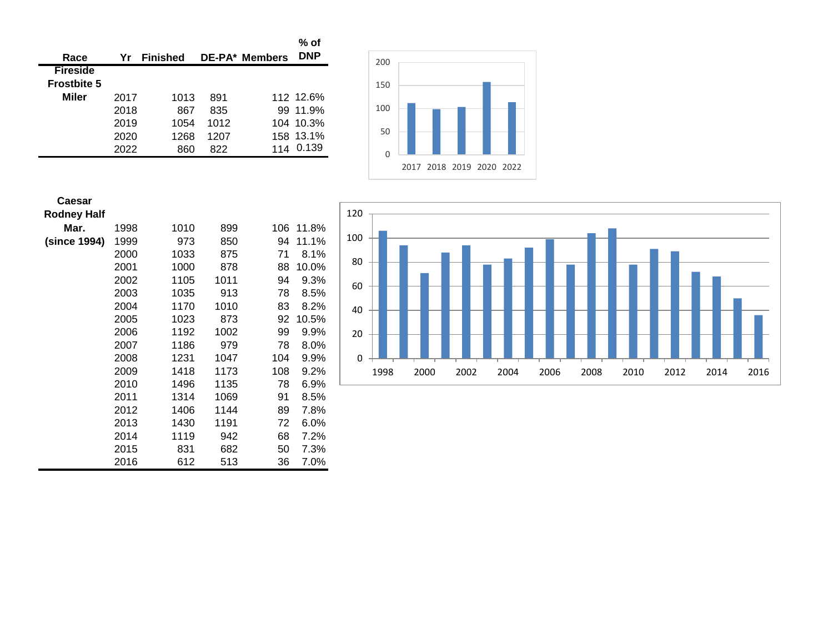| Race               | Yr   | <b>Finished</b> |      | <b>DE-PA* Members</b> | $%$ of<br><b>DNP</b> |
|--------------------|------|-----------------|------|-----------------------|----------------------|
| <b>Fireside</b>    |      |                 |      |                       |                      |
| <b>Frostbite 5</b> |      |                 |      |                       |                      |
| Miler              | 2017 | 1013            | 891  |                       | 112 12.6%            |
|                    | 2018 | 867             | 835  |                       | 99 11.9%             |
|                    | 2019 | 1054            | 1012 |                       | 104 10.3%            |
|                    | 2020 | 1268            | 1207 |                       | 158 13.1%            |
|                    | 2022 | 860             | 822  |                       | 0.139                |



| Caesar             |      |      |      |     |       |
|--------------------|------|------|------|-----|-------|
| <b>Rodney Half</b> |      |      |      |     |       |
| Mar.               | 1998 | 1010 | 899  | 106 | 11.8% |
| (since 1994)       | 1999 | 973  | 850  | 94  | 11.1% |
|                    | 2000 | 1033 | 875  | 71  | 8.1%  |
|                    | 2001 | 1000 | 878  | 88  | 10.0% |
|                    | 2002 | 1105 | 1011 | 94  | 9.3%  |
|                    | 2003 | 1035 | 913  | 78  | 8.5%  |
|                    | 2004 | 1170 | 1010 | 83  | 8.2%  |
|                    | 2005 | 1023 | 873  | 92  | 10.5% |
|                    | 2006 | 1192 | 1002 | 99  | 9.9%  |
|                    | 2007 | 1186 | 979  | 78  | 8.0%  |
|                    | 2008 | 1231 | 1047 | 104 | 9.9%  |
|                    | 2009 | 1418 | 1173 | 108 | 9.2%  |
|                    | 2010 | 1496 | 1135 | 78  | 6.9%  |
|                    | 2011 | 1314 | 1069 | 91  | 8.5%  |
|                    | 2012 | 1406 | 1144 | 89  | 7.8%  |
|                    | 2013 | 1430 | 1191 | 72  | 6.0%  |
|                    | 2014 | 1119 | 942  | 68  | 7.2%  |
|                    | 2015 | 831  | 682  | 50  | 7.3%  |
|                    | 2016 | 612  | 513  | 36  | 7.0%  |

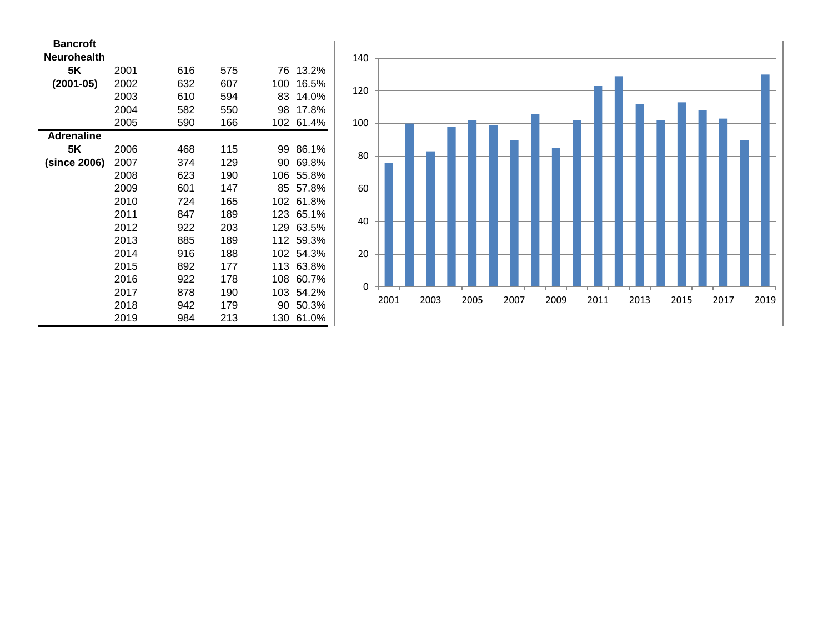| <b>Bancroft</b>    |      |     |     |     |       |
|--------------------|------|-----|-----|-----|-------|
| <b>Neurohealth</b> |      |     |     |     |       |
| 5K                 | 2001 | 616 | 575 | 76  | 13.2% |
| $(2001 - 05)$      | 2002 | 632 | 607 | 100 | 16.5% |
|                    | 2003 | 610 | 594 | 83  | 14.0% |
|                    | 2004 | 582 | 550 | 98  | 17.8% |
|                    | 2005 | 590 | 166 | 102 | 61.4% |
| <b>Adrenaline</b>  |      |     |     |     |       |
| 5K                 | 2006 | 468 | 115 | 99  | 86.1% |
| (since 2006)       | 2007 | 374 | 129 | 90  | 69.8% |
|                    | 2008 | 623 | 190 | 106 | 55.8% |
|                    | 2009 | 601 | 147 | 85  | 57.8% |
|                    | 2010 | 724 | 165 | 102 | 61.8% |
|                    | 2011 | 847 | 189 | 123 | 65.1% |
|                    | 2012 | 922 | 203 | 129 | 63.5% |
|                    | 2013 | 885 | 189 | 112 | 59.3% |
|                    | 2014 | 916 | 188 | 102 | 54.3% |
|                    | 2015 | 892 | 177 | 113 | 63.8% |
|                    | 2016 | 922 | 178 | 108 | 60.7% |
|                    | 2017 | 878 | 190 | 103 | 54.2% |
|                    | 2018 | 942 | 179 | 90  | 50.3% |
|                    | 2019 | 984 | 213 | 130 | 61.0% |

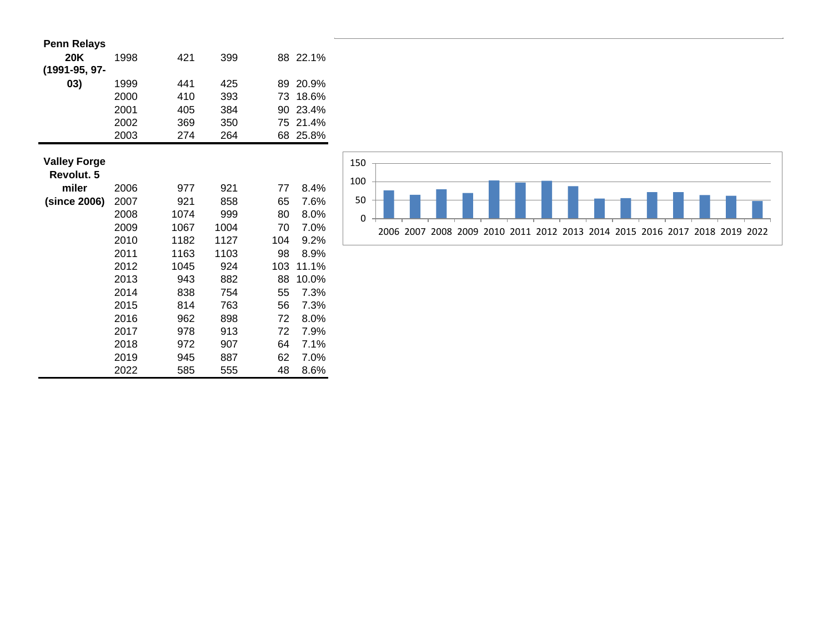| <b>Penn Relays</b>  |      |      |      |     |          |
|---------------------|------|------|------|-----|----------|
| 20K                 | 1998 | 421  | 399  |     | 88 22.1% |
| (1991-95, 97-       |      |      |      |     |          |
| 03)                 | 1999 | 441  | 425  | 89  | 20.9%    |
|                     | 2000 | 410  | 393  | 73  | 18.6%    |
|                     | 2001 | 405  | 384  | 90  | 23.4%    |
|                     | 2002 | 369  | 350  | 75  | 21.4%    |
|                     | 2003 | 274  | 264  | 68  | 25.8%    |
|                     |      |      |      |     |          |
| <b>Valley Forge</b> |      |      |      |     |          |
| Revolut. 5          |      |      |      |     |          |
| miler               | 2006 | 977  | 921  | 77  | 8.4%     |
| (since 2006)        | 2007 | 921  | 858  | 65  | 7.6%     |
|                     | 2008 | 1074 | 999  | 80  | 8.0%     |
|                     | 2009 | 1067 | 1004 | 70  | 7.0%     |
|                     | 2010 | 1182 | 1127 | 104 | 9.2%     |
|                     | 2011 | 1163 | 1103 | 98  | 8.9%     |
|                     | 2012 | 1045 | 924  | 103 | 11.1%    |
|                     | 2013 | 943  | 882  | 88  | 10.0%    |
|                     | 2014 | 838  | 754  | 55  | 7.3%     |
|                     | 2015 | 814  | 763  | 56  | 7.3%     |
|                     | 2016 | 962  | 898  | 72  | $8.0\%$  |
|                     | 2017 | 978  | 913  | 72  | 7.9%     |
|                     | 2018 | 972  | 907  | 64  | 7.1%     |
|                     | 2019 | 945  | 887  | 62  | 7.0%     |
|                     | 2022 | 585  | 555  | 48  | 8.6%     |

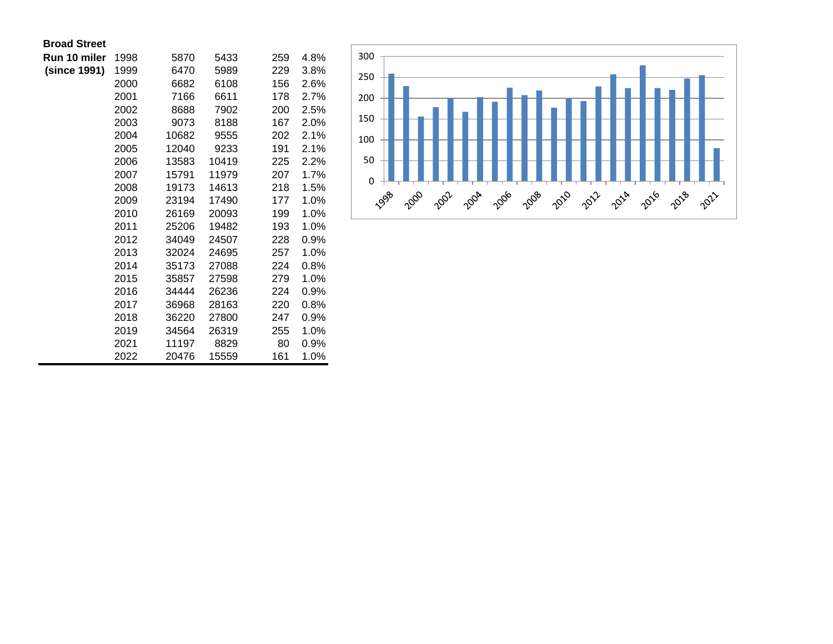| <b>Broad Street</b> |  |
|---------------------|--|
|---------------------|--|

| Run 10 miler | 1998 | 5870  | 5433  | 259 | 4.8% |
|--------------|------|-------|-------|-----|------|
| (since 1991) | 1999 | 6470  | 5989  | 229 | 3.8% |
|              | 2000 | 6682  | 6108  | 156 | 2.6% |
|              | 2001 | 7166  | 6611  | 178 | 2.7% |
|              | 2002 | 8688  | 7902  | 200 | 2.5% |
|              | 2003 | 9073  | 8188  | 167 | 2.0% |
|              | 2004 | 10682 | 9555  | 202 | 2.1% |
|              | 2005 | 12040 | 9233  | 191 | 2.1% |
|              | 2006 | 13583 | 10419 | 225 | 2.2% |
|              | 2007 | 15791 | 11979 | 207 | 1.7% |
|              | 2008 | 19173 | 14613 | 218 | 1.5% |
|              | 2009 | 23194 | 17490 | 177 | 1.0% |
|              | 2010 | 26169 | 20093 | 199 | 1.0% |
|              | 2011 | 25206 | 19482 | 193 | 1.0% |
|              | 2012 | 34049 | 24507 | 228 | 0.9% |
|              | 2013 | 32024 | 24695 | 257 | 1.0% |
|              | 2014 | 35173 | 27088 | 224 | 0.8% |
|              | 2015 | 35857 | 27598 | 279 | 1.0% |
|              | 2016 | 34444 | 26236 | 224 | 0.9% |
|              | 2017 | 36968 | 28163 | 220 | 0.8% |
|              | 2018 | 36220 | 27800 | 247 | 0.9% |
|              | 2019 | 34564 | 26319 | 255 | 1.0% |
|              | 2021 | 11197 | 8829  | 80  | 0.9% |
|              | 2022 | 20476 | 15559 | 161 | 1.0% |

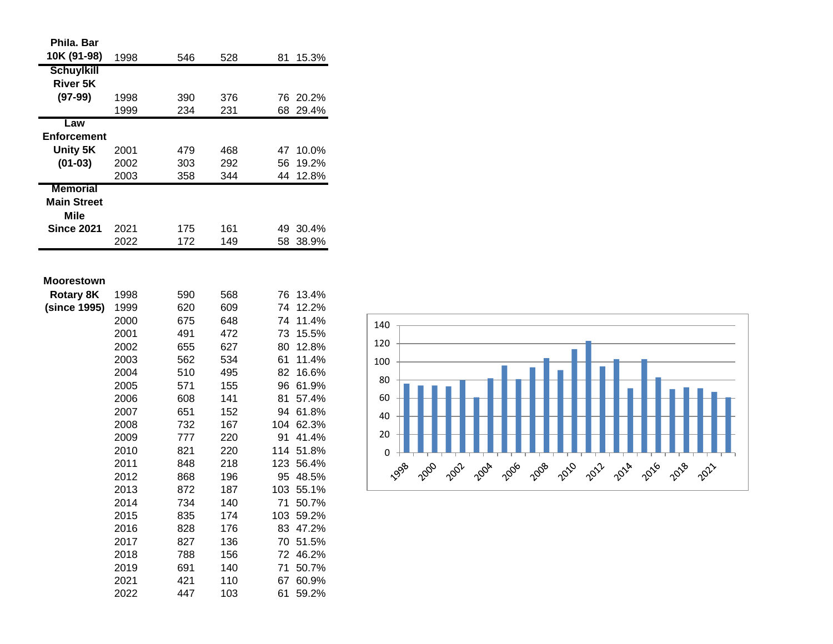| 10K (91-98)<br>1998<br>546<br>528<br>81<br>15.3%           |  |
|------------------------------------------------------------|--|
| <b>Schuylkill</b>                                          |  |
| <b>River 5K</b>                                            |  |
| $(97-99)$<br>1998<br>390<br>376<br>76<br>20.2%             |  |
| 1999<br>234<br>231<br>29.4%<br>68                          |  |
| Law                                                        |  |
| <b>Enforcement</b>                                         |  |
| Unity 5K<br>10.0%<br>2001<br>479<br>468<br>47              |  |
| $(01-03)$<br>292<br>56<br>19.2%<br>2002<br>303             |  |
| 358<br>12.8%<br>2003<br>344<br>44                          |  |
| <b>Memorial</b>                                            |  |
| <b>Main Street</b>                                         |  |
| <b>Mile</b>                                                |  |
| <b>Since 2021</b><br>2021<br>175<br>161<br>30.4%<br>49     |  |
| 172<br>149<br>2022<br>58<br>38.9%                          |  |
|                                                            |  |
|                                                            |  |
| <b>Moorestown</b>                                          |  |
| <b>Rotary 8K</b><br>590<br>568<br>13.4%<br>1998<br>76      |  |
| (since 1995)<br>620<br>609<br>74<br>12.2%<br>1999          |  |
| 2000<br>675<br>648<br>74<br>11.4%                          |  |
| 491<br>15.5%<br>2001<br>472<br>73                          |  |
| 627<br>80<br>12.8%<br>2002<br>655                          |  |
| 562<br>534<br>61<br>2003<br>11.4%                          |  |
| 510<br>495<br>82<br>16.6%<br>2004                          |  |
| 2005<br>571<br>155<br>96<br>61.9%                          |  |
| 141<br>81<br>57.4%<br>2006<br>608                          |  |
| 651<br>152<br>61.8%<br>2007<br>94                          |  |
| 732<br>167<br>104<br>2008<br>62.3%                         |  |
| 777<br>91<br>41.4%<br>2009<br>220                          |  |
| 2010<br>114<br>51.8%<br>821<br>220<br>2011<br>218<br>56.4% |  |
| 848<br>123<br>2012                                         |  |
| 868<br>196<br>95<br>48.5%<br>103<br>872                    |  |
| 2013<br>187<br>55.1%<br>2014<br>734<br>71<br>50.7%<br>140  |  |
| 2015<br>835<br>174<br>59.2%<br>103                         |  |
| 2016<br>83<br>47.2%<br>828<br>176                          |  |
| 2017<br>827<br>136<br>70<br>51.5%                          |  |
| 2018<br>156<br>72<br>46.2%<br>788                          |  |
| 140<br>2019<br>691<br>71<br>50.7%                          |  |
| 421<br>2021<br>110<br>67<br>60.9%                          |  |
| 447<br>2022<br>103<br>61<br>59.2%                          |  |

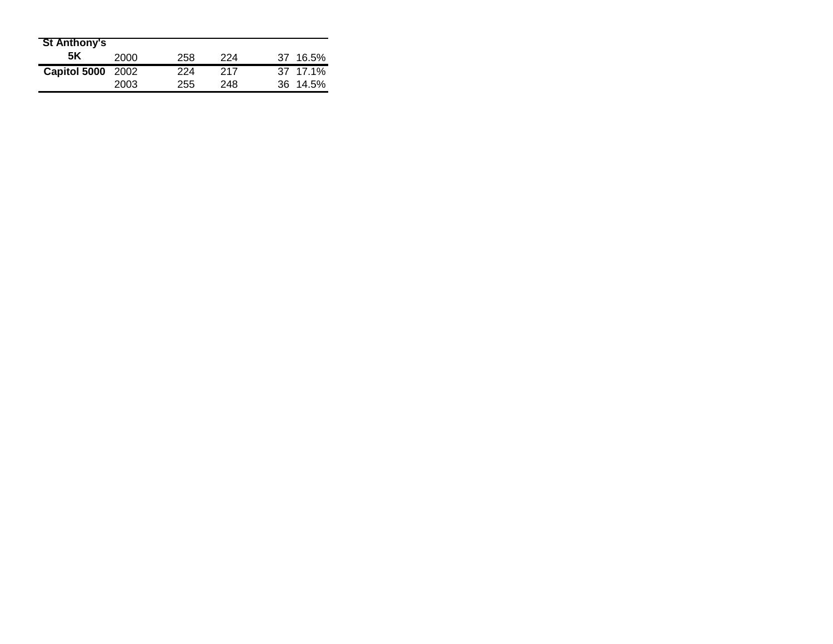| <b>St Anthony's</b> |      |     |     |          |
|---------------------|------|-----|-----|----------|
| 5K                  | 2000 | 258 | 224 | 37 16.5% |
| Capitol 5000 2002   |      | 224 | 217 | 37 17.1% |
|                     | 2003 | 255 | 248 | 36 14.5% |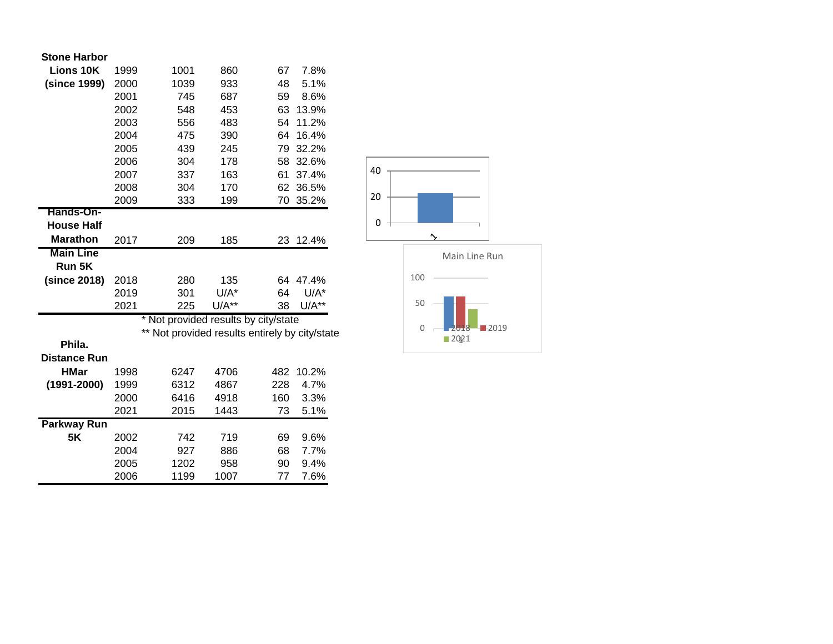| <b>Stone Harbor</b> |  |
|---------------------|--|
|---------------------|--|

| <b>Lions 10K</b>    | 1999 | 1001                               | 860     | 67                                          | 7.8%    |  |
|---------------------|------|------------------------------------|---------|---------------------------------------------|---------|--|
| (since 1999)        | 2000 | 1039                               | 933     | 48                                          | 5.1%    |  |
|                     | 2001 | 745                                | 687     | 59                                          | 8.6%    |  |
|                     | 2002 | 548                                | 453     | 63                                          | 13.9%   |  |
|                     | 2003 | 556                                | 483     | 54                                          | 11.2%   |  |
|                     | 2004 | 475                                | 390     | 64                                          | 16.4%   |  |
|                     | 2005 | 439                                | 245     | 79                                          | 32.2%   |  |
|                     | 2006 | 304                                | 178     | 58                                          | 32.6%   |  |
|                     | 2007 | 337                                | 163     | 61                                          | 37.4%   |  |
|                     | 2008 | 304                                | 170     | 62                                          | 36.5%   |  |
|                     | 2009 | 333                                | 199     | 70                                          | 35.2%   |  |
| <b>Hands-On-</b>    |      |                                    |         |                                             |         |  |
| <b>House Half</b>   |      |                                    |         |                                             |         |  |
| <b>Marathon</b>     | 2017 | 209                                | 185     | 23                                          | 12.4%   |  |
| <b>Main Line</b>    |      |                                    |         |                                             |         |  |
| Run 5K              |      |                                    |         |                                             |         |  |
| (since 2018)        | 2018 | 280                                | 135     | 64                                          | 47.4%   |  |
|                     | 2019 | 301                                | $U/A^*$ | 64                                          | $U/A^*$ |  |
|                     | 2021 | 225                                | $U/A**$ | 38                                          | $U/A**$ |  |
|                     |      | Not provided results by city/state |         |                                             |         |  |
|                     |      |                                    |         | Not provided results entirely by city/state |         |  |
| Phila.              |      |                                    |         |                                             |         |  |
| <b>Distance Run</b> |      |                                    |         |                                             |         |  |
| <b>HMar</b>         | 1998 | 6247                               | 4706    | 482                                         | 10.2%   |  |
| $(1991 - 2000)$     | 1999 | 6312                               | 4867    | 228                                         | 4.7%    |  |
|                     | 2000 | 6416                               | 4918    | 160                                         | 3.3%    |  |
|                     | 2021 | 2015                               | 1443    | 73                                          | 5.1%    |  |
| <b>Parkway Run</b>  |      |                                    |         |                                             |         |  |
| <b>5K</b>           | 2002 | 742                                | 719     | 69                                          | 9.6%    |  |
|                     | 2004 | 927                                | 886     | 68                                          | 7.7%    |  |
|                     | 2005 | 1202                               | 958     | 90                                          | 9.4%    |  |
|                     | 2006 | 1199                               | 1007    | 77                                          | 7.6%    |  |



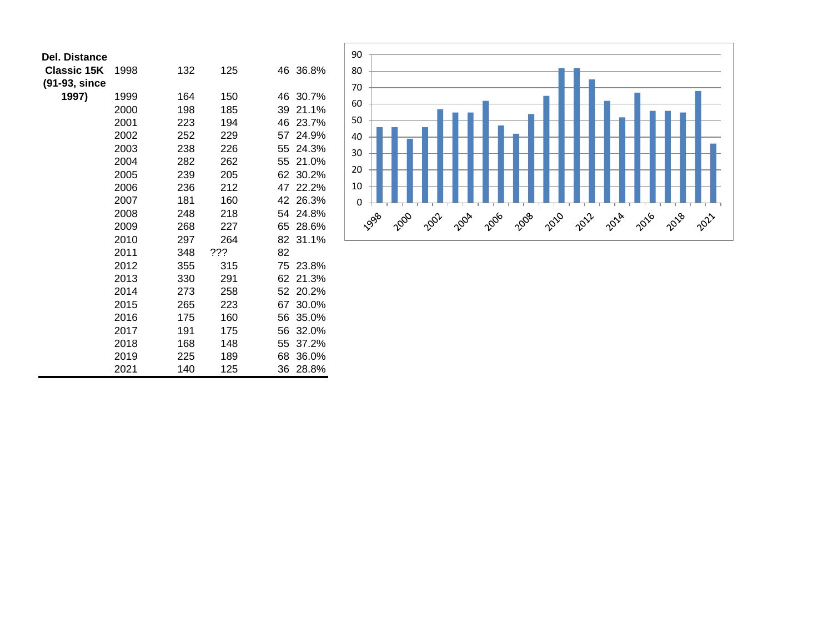| <b>Del. Distance</b> |      |     |     |             |
|----------------------|------|-----|-----|-------------|
| <b>Classic 15K</b>   | 1998 | 132 | 125 | 46 36.8%    |
| (91-93, since        |      |     |     |             |
| 1997)                | 1999 | 164 | 150 | 46 30.7%    |
|                      | 2000 | 198 | 185 | 21.1%<br>39 |
|                      | 2001 | 223 | 194 | 46 23.7%    |
|                      | 2002 | 252 | 229 | 57 24.9%    |
|                      | 2003 | 238 | 226 | 55 24.3%    |
|                      | 2004 | 282 | 262 | 55 21.0%    |
|                      | 2005 | 239 | 205 | 62 30.2%    |
|                      | 2006 | 236 | 212 | 47<br>22.2% |
|                      | 2007 | 181 | 160 | 42 26.3%    |
|                      | 2008 | 248 | 218 | 54<br>24.8% |
|                      | 2009 | 268 | 227 | 65<br>28.6% |
|                      | 2010 | 297 | 264 | 82 31.1%    |
|                      | 2011 | 348 | ??? | 82          |
|                      | 2012 | 355 | 315 | 75 23.8%    |
|                      | 2013 | 330 | 291 | 21.3%<br>62 |
|                      | 2014 | 273 | 258 | 52 20.2%    |
|                      | 2015 | 265 | 223 | 67<br>30.0% |
|                      | 2016 | 175 | 160 | 56<br>35.0% |
|                      | 2017 | 191 | 175 | 56<br>32.0% |
|                      | 2018 | 168 | 148 | 55<br>37.2% |
|                      | 2019 | 225 | 189 | 68<br>36.0% |
|                      | 2021 | 140 | 125 | 28.8%<br>36 |

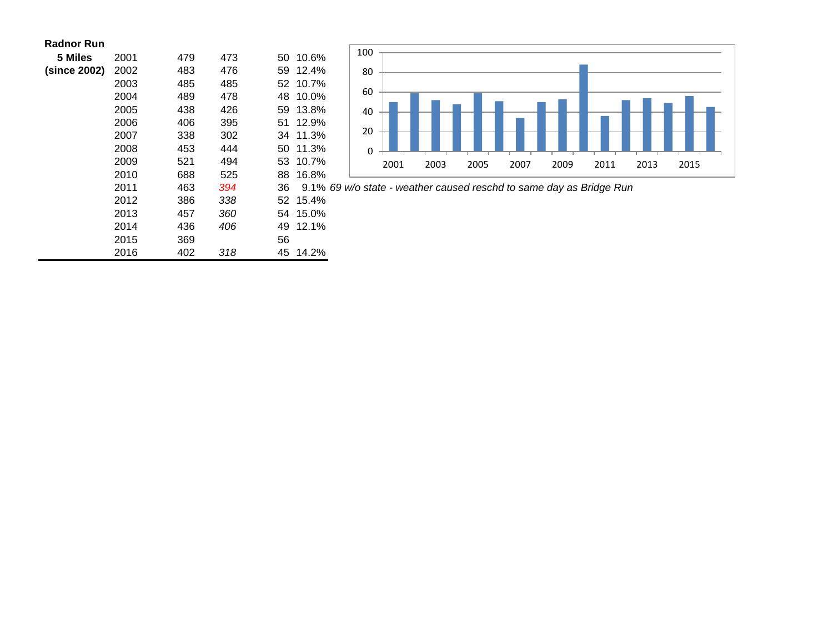| <b>Radnor Run</b> |  |  |
|-------------------|--|--|
|-------------------|--|--|

| 5 Miles      | 2001 | 479 | 473 | 50 | 10.6%    |
|--------------|------|-----|-----|----|----------|
| (since 2002) | 2002 | 483 | 476 | 59 | 12.4%    |
|              | 2003 | 485 | 485 |    | 52 10.7% |
|              | 2004 | 489 | 478 | 48 | 10.0%    |
|              | 2005 | 438 | 426 | 59 | 13.8%    |
|              | 2006 | 406 | 395 | 51 | 12.9%    |
|              | 2007 | 338 | 302 | 34 | 11.3%    |
|              | 2008 | 453 | 444 | 50 | 11.3%    |
|              | 2009 | 521 | 494 |    | 53 10.7% |
|              | 2010 | 688 | 525 | 88 | 16.8%    |
|              | 2011 | 463 | 394 | 36 | $9.1\%$  |
|              | 2012 | 386 | 338 |    | 52 15.4% |
|              | 2013 | 457 | 360 |    | 54 15.0% |
|              | 2014 | 436 | 406 | 49 | 12.1%    |
|              | 2015 | 369 |     | 56 |          |
|              | 2016 | 402 | 318 | 45 | 14.2%    |



*69 w/o state - weather caused reschd to same day as Bridge Run*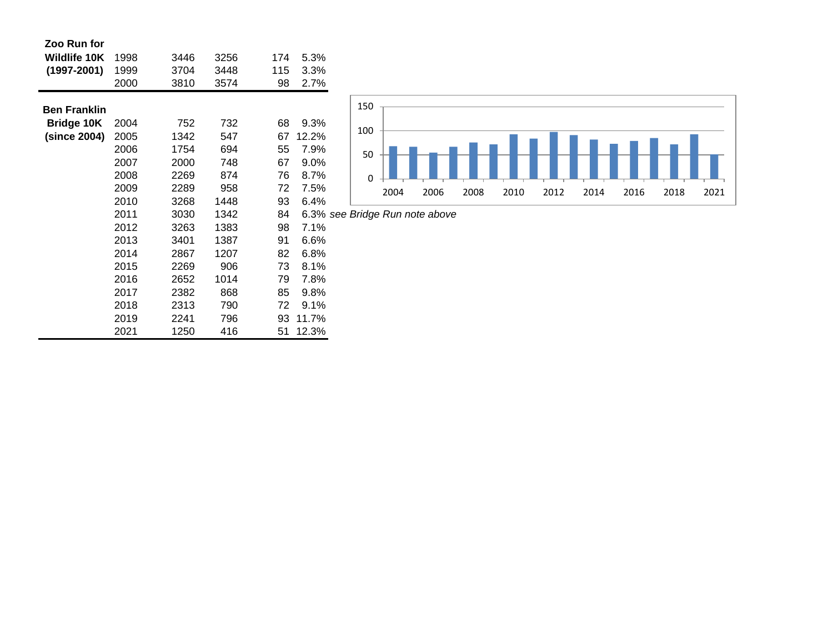| Zoo Run for         |      |      |      |     |          |  |
|---------------------|------|------|------|-----|----------|--|
| Wildlife 10K        | 1998 | 3446 | 3256 | 174 | 5.3%     |  |
| $(1997 - 2001)$     | 1999 | 3704 | 3448 | 115 | 3.3%     |  |
|                     | 2000 | 3810 | 3574 | 98  | 2.7%     |  |
|                     |      |      |      |     |          |  |
| <b>Ben Franklin</b> |      |      |      |     |          |  |
| <b>Bridge 10K</b>   | 2004 | 752  | 732  | 68  | 9.3%     |  |
| (since 2004)        | 2005 | 1342 | 547  | 67  | 12.2%    |  |
|                     | 2006 | 1754 | 694  | 55  | 7.9%     |  |
|                     | 2007 | 2000 | 748  | 67  | 9.0%     |  |
|                     | 2008 | 2269 | 874  | 76  | 8.7%     |  |
|                     | 2009 | 2289 | 958  | 72  | 7.5%     |  |
|                     | 2010 | 3268 | 1448 | 93  | 6.4%     |  |
|                     | 2011 | 3030 | 1342 | 84  | 6.3% see |  |
|                     | 2012 | 3263 | 1383 | 98  | 7.1%     |  |
|                     | 2013 | 3401 | 1387 | 91  | 6.6%     |  |
|                     | 2014 | 2867 | 1207 | 82  | 6.8%     |  |
|                     | 2015 | 2269 | 906  | 73  | 8.1%     |  |
|                     | 2016 | 2652 | 1014 | 79  | 7.8%     |  |
|                     | 2017 | 2382 | 868  | 85  | 9.8%     |  |
|                     | 2018 | 2313 | 790  | 72  | 9.1%     |  |
|                     | 2019 | 2241 | 796  | 93  | 11.7%    |  |
|                     | 2021 | 1250 | 416  | 51  | 12.3%    |  |



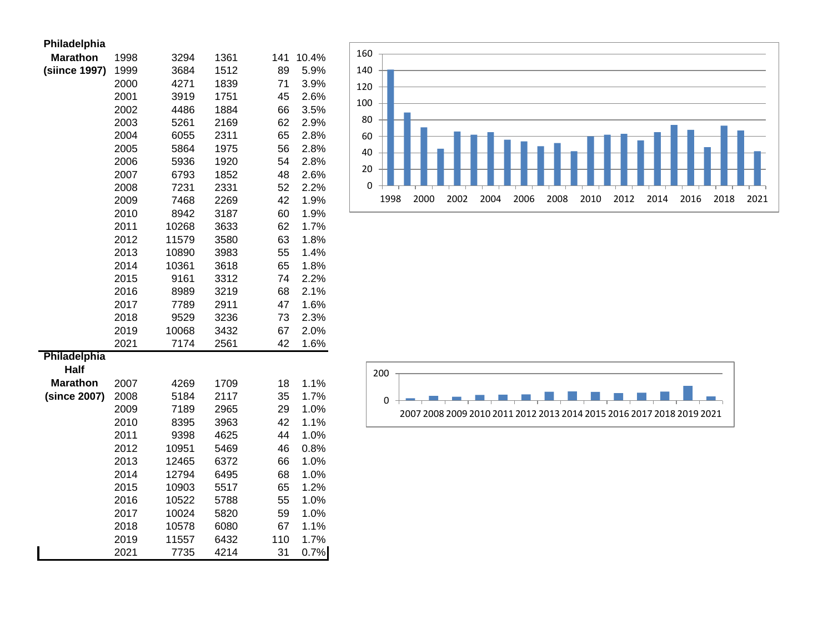| Philadelphia    |      |       |      |     |       |
|-----------------|------|-------|------|-----|-------|
| <b>Marathon</b> | 1998 | 3294  | 1361 | 141 | 10.4% |
| (siince 1997)   | 1999 | 3684  | 1512 | 89  | 5.9%  |
|                 | 2000 | 4271  | 1839 | 71  | 3.9%  |
|                 | 2001 | 3919  | 1751 | 45  | 2.6%  |
|                 | 2002 | 4486  | 1884 | 66  | 3.5%  |
|                 | 2003 | 5261  | 2169 | 62  | 2.9%  |
|                 | 2004 | 6055  | 2311 | 65  | 2.8%  |
|                 | 2005 | 5864  | 1975 | 56  | 2.8%  |
|                 | 2006 | 5936  | 1920 | 54  | 2.8%  |
|                 | 2007 | 6793  | 1852 | 48  | 2.6%  |
|                 | 2008 | 7231  | 2331 | 52  | 2.2%  |
|                 | 2009 | 7468  | 2269 | 42  | 1.9%  |
|                 | 2010 | 8942  | 3187 | 60  | 1.9%  |
|                 | 2011 | 10268 | 3633 | 62  | 1.7%  |
|                 | 2012 | 11579 | 3580 | 63  | 1.8%  |
|                 | 2013 | 10890 | 3983 | 55  | 1.4%  |
|                 | 2014 | 10361 | 3618 | 65  | 1.8%  |
|                 | 2015 | 9161  | 3312 | 74  | 2.2%  |
|                 | 2016 | 8989  | 3219 | 68  | 2.1%  |
|                 | 2017 | 7789  | 2911 | 47  | 1.6%  |
|                 | 2018 | 9529  | 3236 | 73  | 2.3%  |
|                 | 2019 | 10068 | 3432 | 67  | 2.0%  |
|                 | 2021 | 7174  | 2561 | 42  | 1.6%  |
| Philadelphia    |      |       |      |     |       |
| <b>Half</b>     |      |       |      |     |       |
| <b>Marathon</b> | 2007 | 4269  | 1709 | 18  | 1.1%  |
| (since 2007)    | 2008 | 5184  | 2117 | 35  | 1.7%  |
|                 | 2009 | 7189  | 2965 | 29  | 1.0%  |
|                 | 2010 | 8395  | 3963 | 42  | 1.1%  |
|                 | 2011 | 9398  | 4625 | 44  | 1.0%  |
|                 | 2012 | 10951 | 5469 | 46  | 0.8%  |
|                 | 2013 | 12465 | 6372 | 66  | 1.0%  |
|                 | 2014 | 12794 | 6495 | 68  | 1.0%  |
|                 | 2015 | 10903 | 5517 | 65  | 1.2%  |
|                 | 2016 | 10522 | 5788 | 55  | 1.0%  |
|                 | 2017 | 10024 | 5820 | 59  | 1.0%  |
|                 | 2018 | 10578 | 6080 | 67  | 1.1%  |
|                 | 2019 | 11557 | 6432 | 110 | 1.7%  |
|                 | 2021 | 7735  | 4214 | 31  | 0.7%  |